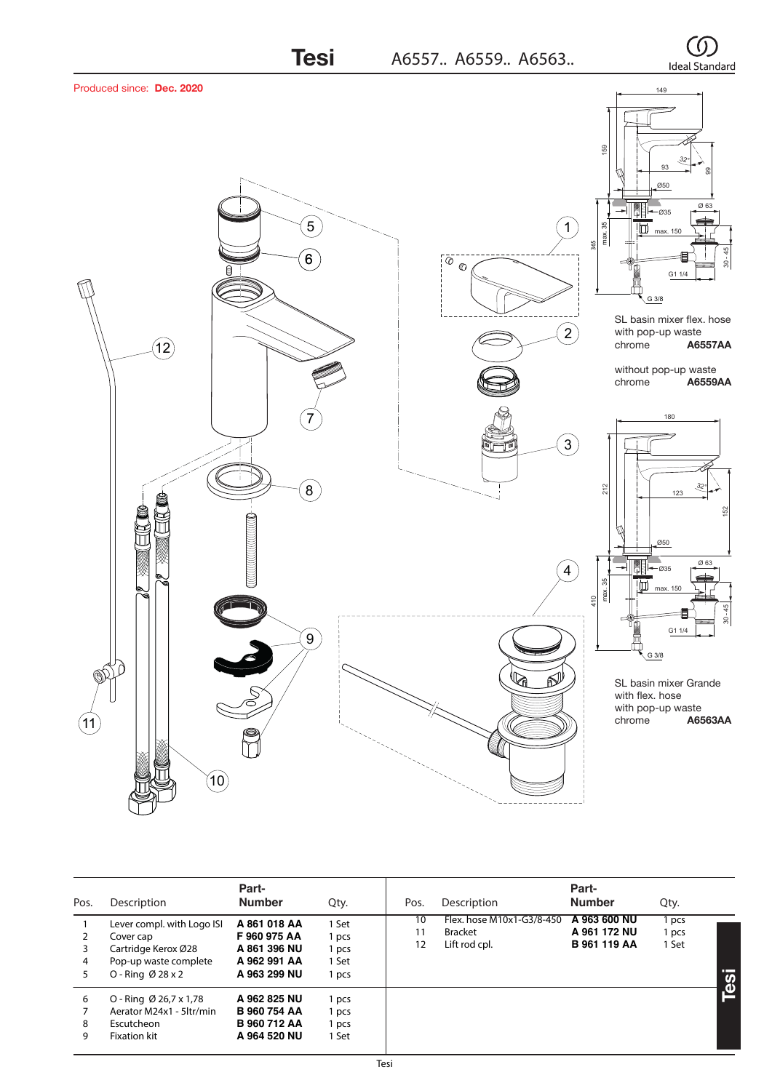

| Pos.         | Description                                                                                                              | Part-<br><b>Number</b>                                                     | Qty.                                      | Pos.                                              | Description               | Part-<br><b>Number</b>                              | Qty.                    |                           |
|--------------|--------------------------------------------------------------------------------------------------------------------------|----------------------------------------------------------------------------|-------------------------------------------|---------------------------------------------------|---------------------------|-----------------------------------------------------|-------------------------|---------------------------|
| 3<br>4<br>5. | Lever compl. with Logo ISI<br>Cover cap<br>Cartridge Kerox Ø28<br>Pop-up waste complete<br>O - Ring $\varnothing$ 28 x 2 | A 861 018 AA<br>F960975AA<br>A 861 396 NU<br>A 962 991 AA<br>A 963 299 NU  | 1 Set<br>1 pcs<br>1 pcs<br>1 Set<br>1 pcs | 10<br><b>Bracket</b><br>11<br>Lift rod cpl.<br>12 | Flex. hose M10x1-G3/8-450 | A 963 600 NU<br>A 961 172 NU<br><b>B</b> 961 119 AA | 1 pcs<br>1 pcs<br>1 Set | <b>TEL:</b><br><u>ies</u> |
| 6<br>8<br>9  | $O - R$ ing Ø 26,7 x 1,78<br>Aerator M24x1 - 5ltr/min<br>Escutcheon<br><b>Fixation kit</b>                               | A 962 825 NU<br><b>B 960 754 AA</b><br><b>B 960 712 AA</b><br>A 964 520 NU | 1 pcs<br>1 pcs<br>1 pcs<br>1 Set          |                                                   |                           |                                                     |                         |                           |